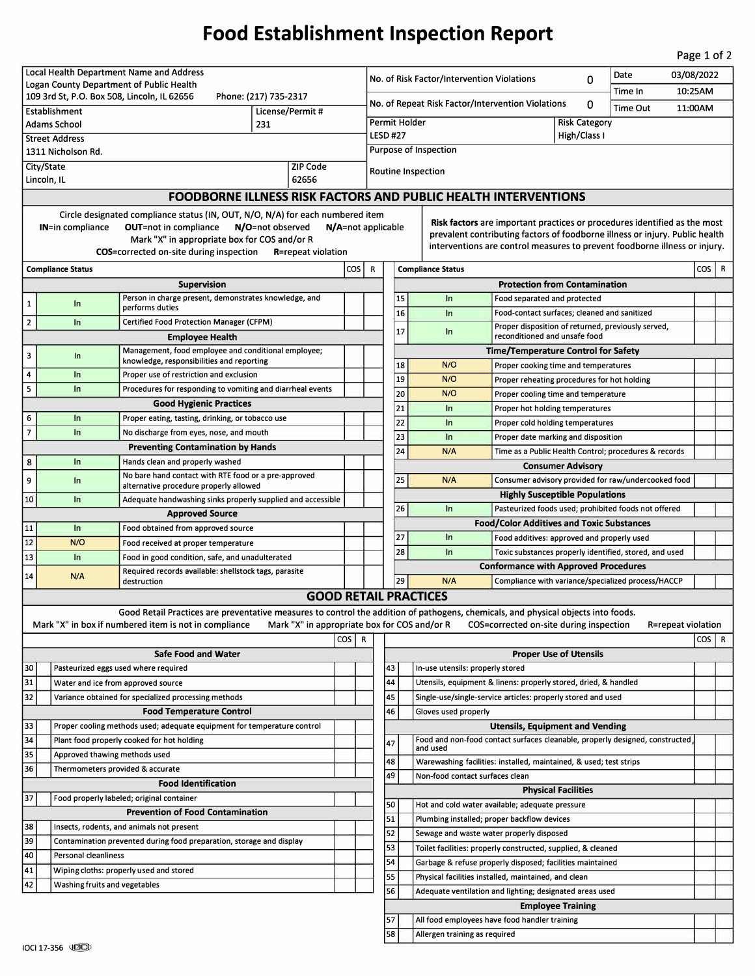## **Food Establishment Inspection Report**

Page 1 of 2

| Local Health Department Name and Address                                                                       |                                                                                              |                                                                                                                                                                                            |                                              |            |                                                                           | Date                                                               |                                                                                                                                                            |                                                                                           |                                                                                     |                          |         |                    | 03/08/2022 |   |
|----------------------------------------------------------------------------------------------------------------|----------------------------------------------------------------------------------------------|--------------------------------------------------------------------------------------------------------------------------------------------------------------------------------------------|----------------------------------------------|------------|---------------------------------------------------------------------------|--------------------------------------------------------------------|------------------------------------------------------------------------------------------------------------------------------------------------------------|-------------------------------------------------------------------------------------------|-------------------------------------------------------------------------------------|--------------------------|---------|--------------------|------------|---|
| Logan County Department of Public Health                                                                       |                                                                                              |                                                                                                                                                                                            |                                              |            | No. of Risk Factor/Intervention Violations<br>0<br>Time In                |                                                                    |                                                                                                                                                            |                                                                                           |                                                                                     |                          |         | 10:25AM            |            |   |
| 109 3rd St, P.O. Box 508, Lincoln, IL 62656<br>Phone: (217) 735-2317                                           |                                                                                              |                                                                                                                                                                                            |                                              |            | No. of Repeat Risk Factor/Intervention Violations<br>0<br><b>Time Out</b> |                                                                    |                                                                                                                                                            |                                                                                           |                                                                                     |                          | 11:00AM |                    |            |   |
| License/Permit #<br><b>Establishment</b><br>231<br>Adams School                                                |                                                                                              |                                                                                                                                                                                            |                                              |            | Permit Holder<br><b>Risk Category</b>                                     |                                                                    |                                                                                                                                                            |                                                                                           |                                                                                     |                          |         |                    |            |   |
| <b>Street Address</b>                                                                                          |                                                                                              |                                                                                                                                                                                            |                                              |            | <b>LESD #27</b><br>High/Class I                                           |                                                                    |                                                                                                                                                            |                                                                                           |                                                                                     |                          |         |                    |            |   |
| 1311 Nicholson Rd.                                                                                             |                                                                                              |                                                                                                                                                                                            |                                              |            |                                                                           | <b>Purpose of Inspection</b>                                       |                                                                                                                                                            |                                                                                           |                                                                                     |                          |         |                    |            |   |
| City/State<br><b>ZIP Code</b>                                                                                  |                                                                                              |                                                                                                                                                                                            |                                              |            |                                                                           |                                                                    |                                                                                                                                                            |                                                                                           |                                                                                     |                          |         |                    |            |   |
| 62656<br>Lincoln, IL                                                                                           |                                                                                              |                                                                                                                                                                                            |                                              |            |                                                                           | <b>Routine Inspection</b>                                          |                                                                                                                                                            |                                                                                           |                                                                                     |                          |         |                    |            |   |
|                                                                                                                |                                                                                              | <b>FOODBORNE ILLNESS RISK FACTORS AND PUBLIC HEALTH INTERVENTIONS</b>                                                                                                                      |                                              |            |                                                                           |                                                                    |                                                                                                                                                            |                                                                                           |                                                                                     |                          |         |                    |            |   |
|                                                                                                                | Circle designated compliance status (IN, OUT, N/O, N/A) for each numbered item               |                                                                                                                                                                                            |                                              |            |                                                                           |                                                                    |                                                                                                                                                            |                                                                                           |                                                                                     |                          |         |                    |            |   |
| IN=in compliance<br><b>OUT=not in compliance</b><br>N/O=not observed<br>N/A=not applicable                     |                                                                                              |                                                                                                                                                                                            |                                              |            |                                                                           |                                                                    | Risk factors are important practices or procedures identified as the most                                                                                  |                                                                                           |                                                                                     |                          |         |                    |            |   |
| Mark "X" in appropriate box for COS and/or R                                                                   |                                                                                              |                                                                                                                                                                                            |                                              |            |                                                                           |                                                                    | prevalent contributing factors of foodborne illness or injury. Public health<br>interventions are control measures to prevent foodborne illness or injury. |                                                                                           |                                                                                     |                          |         |                    |            |   |
| <b>COS</b> =corrected on-site during inspection<br><b>R</b> =repeat violation                                  |                                                                                              |                                                                                                                                                                                            |                                              |            |                                                                           |                                                                    |                                                                                                                                                            |                                                                                           |                                                                                     |                          |         |                    |            |   |
| $\cos$<br><b>Compliance Status</b>                                                                             |                                                                                              |                                                                                                                                                                                            |                                              |            |                                                                           | cos  <br><b>Compliance Status</b><br>R                             |                                                                                                                                                            |                                                                                           |                                                                                     |                          |         |                    |            | R |
|                                                                                                                |                                                                                              | <b>Supervision</b>                                                                                                                                                                         |                                              |            |                                                                           | <b>Protection from Contamination</b>                               |                                                                                                                                                            |                                                                                           |                                                                                     |                          |         |                    |            |   |
| 1                                                                                                              | In                                                                                           | Person in charge present, demonstrates knowledge, and                                                                                                                                      |                                              |            |                                                                           |                                                                    | 15                                                                                                                                                         | In                                                                                        | Food separated and protected                                                        |                          |         |                    |            |   |
| $\mathbf{2}$                                                                                                   | In                                                                                           | performs duties<br>Certified Food Protection Manager (CFPM)                                                                                                                                |                                              |            |                                                                           |                                                                    | 16                                                                                                                                                         | In                                                                                        | Food-contact surfaces; cleaned and sanitized                                        |                          |         |                    |            |   |
|                                                                                                                |                                                                                              | <b>Employee Health</b>                                                                                                                                                                     |                                              |            |                                                                           |                                                                    | 17                                                                                                                                                         | In                                                                                        | Proper disposition of returned, previously served,<br>reconditioned and unsafe food |                          |         |                    |            |   |
|                                                                                                                |                                                                                              | Management, food employee and conditional employee;                                                                                                                                        |                                              |            |                                                                           | <b>Time/Temperature Control for Safety</b>                         |                                                                                                                                                            |                                                                                           |                                                                                     |                          |         |                    |            |   |
| з                                                                                                              | In                                                                                           | knowledge, responsibilities and reporting                                                                                                                                                  |                                              |            |                                                                           |                                                                    | 18                                                                                                                                                         | N/O                                                                                       | Proper cooking time and temperatures                                                |                          |         |                    |            |   |
| 4                                                                                                              | In                                                                                           | Proper use of restriction and exclusion                                                                                                                                                    |                                              |            |                                                                           |                                                                    | 19                                                                                                                                                         | N/O                                                                                       | Proper reheating procedures for hot holding                                         |                          |         |                    |            |   |
| 5                                                                                                              | ln                                                                                           | Procedures for responding to vomiting and diarrheal events                                                                                                                                 |                                              |            |                                                                           |                                                                    | 20                                                                                                                                                         | N/O                                                                                       | Proper cooling time and temperature                                                 |                          |         |                    |            |   |
|                                                                                                                |                                                                                              | <b>Good Hygienic Practices</b>                                                                                                                                                             |                                              |            |                                                                           |                                                                    | 21                                                                                                                                                         | $\ln$                                                                                     | Proper hot holding temperatures                                                     |                          |         |                    |            |   |
| 6                                                                                                              | In                                                                                           | Proper eating, tasting, drinking, or tobacco use                                                                                                                                           |                                              |            |                                                                           |                                                                    | 22                                                                                                                                                         | In                                                                                        | Proper cold holding temperatures                                                    |                          |         |                    |            |   |
| $\overline{7}$                                                                                                 | ln                                                                                           | No discharge from eyes, nose, and mouth                                                                                                                                                    |                                              |            |                                                                           |                                                                    | 23                                                                                                                                                         | In                                                                                        | Proper date marking and disposition                                                 |                          |         |                    |            |   |
|                                                                                                                |                                                                                              | <b>Preventing Contamination by Hands</b>                                                                                                                                                   |                                              |            |                                                                           |                                                                    | 24                                                                                                                                                         | N/A                                                                                       | Time as a Public Health Control; procedures & records                               |                          |         |                    |            |   |
| 8                                                                                                              | In                                                                                           | Hands clean and properly washed                                                                                                                                                            |                                              |            |                                                                           |                                                                    |                                                                                                                                                            |                                                                                           |                                                                                     | <b>Consumer Advisory</b> |         |                    |            |   |
| 9                                                                                                              | In                                                                                           | No bare hand contact with RTE food or a pre-approved<br>alternative procedure properly allowed                                                                                             |                                              |            |                                                                           |                                                                    | 25                                                                                                                                                         | N/A                                                                                       | Consumer advisory provided for raw/undercooked food                                 |                          |         |                    |            |   |
| 10                                                                                                             | In                                                                                           | Adequate handwashing sinks properly supplied and accessible                                                                                                                                |                                              |            |                                                                           |                                                                    |                                                                                                                                                            |                                                                                           | <b>Highly Susceptible Populations</b>                                               |                          |         |                    |            |   |
|                                                                                                                |                                                                                              | <b>Approved Source</b>                                                                                                                                                                     |                                              |            |                                                                           |                                                                    | 26                                                                                                                                                         | In                                                                                        | Pasteurized foods used; prohibited foods not offered                                |                          |         |                    |            |   |
| 11                                                                                                             | In                                                                                           | Food obtained from approved source                                                                                                                                                         |                                              |            |                                                                           |                                                                    |                                                                                                                                                            |                                                                                           | <b>Food/Color Additives and Toxic Substances</b>                                    |                          |         |                    |            |   |
| 12                                                                                                             | N/O                                                                                          | Food received at proper temperature                                                                                                                                                        |                                              |            |                                                                           |                                                                    | 27                                                                                                                                                         | $\ln$                                                                                     | Food additives: approved and properly used                                          |                          |         |                    |            |   |
| 13                                                                                                             | In                                                                                           | Food in good condition, safe, and unadulterated                                                                                                                                            |                                              |            |                                                                           |                                                                    | 28                                                                                                                                                         | In                                                                                        | Toxic substances properly identified, stored, and used                              |                          |         |                    |            |   |
| 14                                                                                                             | Required records available: shellstock tags, parasite<br>N/A                                 |                                                                                                                                                                                            |                                              |            |                                                                           |                                                                    |                                                                                                                                                            |                                                                                           | <b>Conformance with Approved Procedures</b>                                         |                          |         |                    |            |   |
| 29<br>N/A<br>Compliance with variance/specialized process/HACCP<br>destruction<br><b>GOOD RETAIL PRACTICES</b> |                                                                                              |                                                                                                                                                                                            |                                              |            |                                                                           |                                                                    |                                                                                                                                                            |                                                                                           |                                                                                     |                          |         |                    |            |   |
|                                                                                                                |                                                                                              |                                                                                                                                                                                            |                                              |            |                                                                           |                                                                    |                                                                                                                                                            |                                                                                           |                                                                                     |                          |         |                    |            |   |
|                                                                                                                |                                                                                              | Good Retail Practices are preventative measures to control the addition of pathogens, chemicals, and physical objects into foods.<br>Mark "X" in box if numbered item is not in compliance | Mark "X" in appropriate box for COS and/or R |            |                                                                           |                                                                    |                                                                                                                                                            |                                                                                           | COS=corrected on-site during inspection                                             |                          |         | R=repeat violation |            |   |
|                                                                                                                |                                                                                              |                                                                                                                                                                                            |                                              | $\cos   R$ |                                                                           |                                                                    |                                                                                                                                                            |                                                                                           |                                                                                     |                          |         |                    | $\cos   R$ |   |
| <b>Safe Food and Water</b>                                                                                     |                                                                                              |                                                                                                                                                                                            |                                              |            |                                                                           | <b>Proper Use of Utensils</b>                                      |                                                                                                                                                            |                                                                                           |                                                                                     |                          |         |                    |            |   |
| 30                                                                                                             | Pasteurized eggs used where required                                                         |                                                                                                                                                                                            |                                              |            |                                                                           | 43<br>In-use utensils: properly stored                             |                                                                                                                                                            |                                                                                           |                                                                                     |                          |         |                    |            |   |
| 31                                                                                                             |                                                                                              | Water and ice from approved source                                                                                                                                                         |                                              |            |                                                                           | 44                                                                 |                                                                                                                                                            | Utensils, equipment & linens: properly stored, dried, & handled                           |                                                                                     |                          |         |                    |            |   |
| 32                                                                                                             | Variance obtained for specialized processing methods                                         |                                                                                                                                                                                            |                                              |            |                                                                           | 45<br>Single-use/single-service articles: properly stored and used |                                                                                                                                                            |                                                                                           |                                                                                     |                          |         |                    |            |   |
| <b>Food Temperature Control</b>                                                                                |                                                                                              |                                                                                                                                                                                            |                                              |            |                                                                           | 46                                                                 |                                                                                                                                                            | Gloves used properly                                                                      |                                                                                     |                          |         |                    |            |   |
| 33<br>Proper cooling methods used; adequate equipment for temperature control                                  |                                                                                              |                                                                                                                                                                                            |                                              |            |                                                                           |                                                                    |                                                                                                                                                            |                                                                                           | <b>Utensils, Equipment and Vending</b>                                              |                          |         |                    |            |   |
| 34                                                                                                             | Plant food properly cooked for hot holding                                                   |                                                                                                                                                                                            |                                              |            |                                                                           | 47                                                                 |                                                                                                                                                            | Food and non-food contact surfaces cleanable, properly designed, constructed,<br>and used |                                                                                     |                          |         |                    |            |   |
| 35                                                                                                             | Approved thawing methods used                                                                |                                                                                                                                                                                            |                                              |            |                                                                           | 48                                                                 |                                                                                                                                                            | Warewashing facilities: installed, maintained, & used; test strips                        |                                                                                     |                          |         |                    |            |   |
| 36<br>Thermometers provided & accurate                                                                         |                                                                                              |                                                                                                                                                                                            |                                              |            |                                                                           | 49                                                                 |                                                                                                                                                            | Non-food contact surfaces clean                                                           |                                                                                     |                          |         |                    |            |   |
| <b>Food Identification</b>                                                                                     |                                                                                              |                                                                                                                                                                                            |                                              |            |                                                                           |                                                                    |                                                                                                                                                            |                                                                                           | <b>Physical Facilities</b>                                                          |                          |         |                    |            |   |
| 37<br>Food properly labeled; original container                                                                |                                                                                              |                                                                                                                                                                                            |                                              |            |                                                                           | 50                                                                 |                                                                                                                                                            | Hot and cold water available; adequate pressure                                           |                                                                                     |                          |         |                    |            |   |
| <b>Prevention of Food Contamination</b>                                                                        |                                                                                              |                                                                                                                                                                                            |                                              |            |                                                                           | 51                                                                 |                                                                                                                                                            | Plumbing installed; proper backflow devices                                               |                                                                                     |                          |         |                    |            |   |
| 38                                                                                                             | Insects, rodents, and animals not present                                                    |                                                                                                                                                                                            |                                              |            |                                                                           | 52                                                                 |                                                                                                                                                            | Sewage and waste water properly disposed                                                  |                                                                                     |                          |         |                    |            |   |
| 39                                                                                                             | Contamination prevented during food preparation, storage and display<br>Personal cleanliness |                                                                                                                                                                                            |                                              |            |                                                                           | 53<br>Toilet facilities: properly constructed, supplied, & cleaned |                                                                                                                                                            |                                                                                           |                                                                                     |                          |         |                    |            |   |
| 40                                                                                                             | Wiping cloths: properly used and stored                                                      |                                                                                                                                                                                            |                                              |            |                                                                           | 54<br>Garbage & refuse properly disposed; facilities maintained    |                                                                                                                                                            |                                                                                           |                                                                                     |                          |         |                    |            |   |
| 41<br>42<br>Washing fruits and vegetables                                                                      |                                                                                              |                                                                                                                                                                                            |                                              |            |                                                                           | 55<br>Physical facilities installed, maintained, and clean         |                                                                                                                                                            |                                                                                           |                                                                                     |                          |         |                    |            |   |
|                                                                                                                |                                                                                              |                                                                                                                                                                                            |                                              |            |                                                                           | 56                                                                 |                                                                                                                                                            | Adequate ventilation and lighting; designated areas used                                  |                                                                                     |                          |         |                    |            |   |
|                                                                                                                |                                                                                              |                                                                                                                                                                                            |                                              |            |                                                                           |                                                                    |                                                                                                                                                            |                                                                                           | <b>Employee Training</b>                                                            |                          |         |                    |            |   |
|                                                                                                                |                                                                                              |                                                                                                                                                                                            |                                              |            |                                                                           | 57                                                                 |                                                                                                                                                            | All food employees have food handler training                                             |                                                                                     |                          |         |                    |            |   |
|                                                                                                                |                                                                                              |                                                                                                                                                                                            |                                              |            |                                                                           | 58                                                                 |                                                                                                                                                            | Allergen training as required                                                             |                                                                                     |                          |         |                    |            |   |